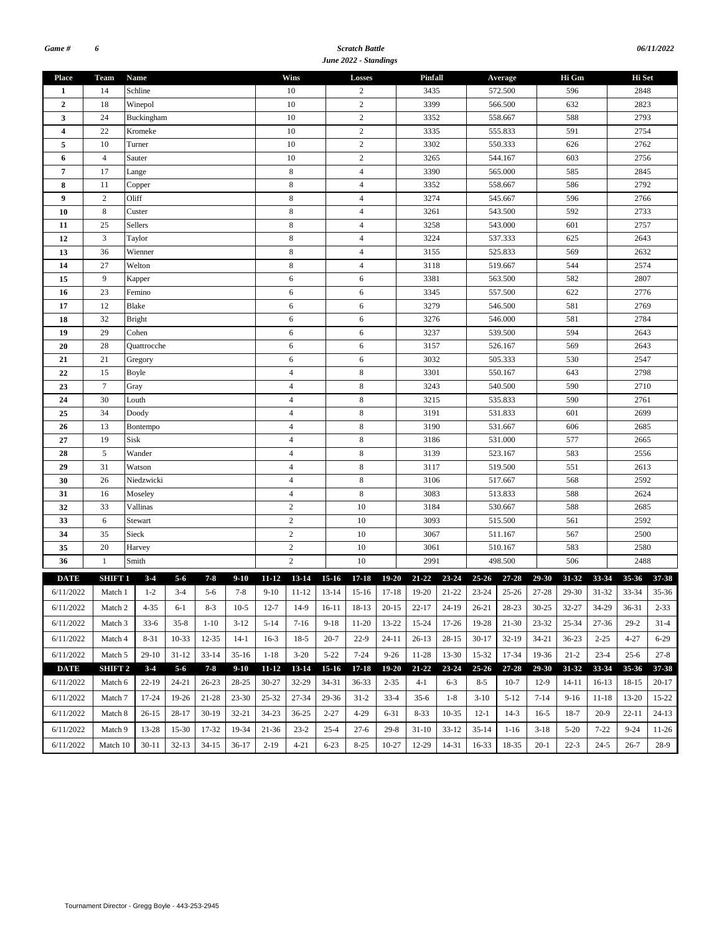#### *Scratch Battle June 2022 - Standings*

| <b>Place</b>            | Team                        | Name              |           |           |                |                     | Wins              |                  | Losses                       |              | Pinfall                                                          |                    |                    | Average   |            | Hi Gm     |              | Hi Set    |           |  |
|-------------------------|-----------------------------|-------------------|-----------|-----------|----------------|---------------------|-------------------|------------------|------------------------------|--------------|------------------------------------------------------------------|--------------------|--------------------|-----------|------------|-----------|--------------|-----------|-----------|--|
| 1                       | 14                          | Schline           |           |           |                |                     | 10                |                  | 2                            |              | 3435                                                             |                    |                    | 572.500   |            | 596       |              | 2848      |           |  |
| $\overline{2}$          | 18                          | Winepol           |           |           |                |                     | 10                |                  | $\sqrt{2}$<br>$\overline{c}$ |              | 3399                                                             |                    |                    | 566.500   |            | 632       |              | 2823      |           |  |
| 3                       | 24                          | Buckingham        |           |           |                |                     | 10                |                  |                              |              | 3352                                                             |                    |                    | 558.667   |            | 588       |              | 2793      |           |  |
| $\overline{\mathbf{4}}$ | 22                          | Kromeke<br>Turner |           |           |                | 10                  |                   | $\overline{c}$   |                              | 3335         |                                                                  |                    | 555.833            |           | 591        |           | 2754         |           |           |  |
| 5                       | 10                          |                   |           |           |                | 10                  |                   | $\overline{c}$   |                              | 3302         |                                                                  | 550.333            |                    |           | 626        |           | 2762         |           |           |  |
| 6                       | $\overline{4}$              | Sauter            |           |           |                | 10                  |                   | $\sqrt{2}$       |                              | 3265         |                                                                  |                    | 544.167            |           | 603        |           | 2756<br>2845 |           |           |  |
| 7                       | 17                          | Lange             |           |           |                | 8                   |                   | $\overline{4}$   |                              | 3390         |                                                                  |                    | 565.000            |           | 585        |           |              |           |           |  |
| 8                       | 11                          | Copper            |           |           |                | 8                   |                   | $\overline{4}$   |                              | 3352         |                                                                  |                    | 558.667            |           | 586        |           | 2792         |           |           |  |
| $\boldsymbol{9}$        | $\mathbf{2}$                | Oliff             |           |           |                | 8                   |                   | $\overline{4}$   |                              | 3274         |                                                                  |                    | 545.667            |           | 596        |           | 2766         |           |           |  |
| 10                      | $\,8\,$                     | Custer            |           |           |                |                     | $\,$ 8 $\,$       |                  | $\overline{4}$               |              | 3261                                                             |                    |                    | 543.500   |            | 592       |              | 2733      |           |  |
| 11                      | 25                          | Sellers           |           |           |                |                     | 8                 |                  | $\overline{4}$               |              | 3258                                                             |                    |                    | 543.000   |            | 601       |              | 2757      |           |  |
| 12                      | $\mathfrak{Z}$              | Taylor            |           |           |                |                     | $\,$ 8 $\,$       |                  | $\overline{4}$               |              | 3224                                                             |                    |                    | 537.333   |            | 625       |              | 2643      |           |  |
| 13                      | 36                          | Wienner           |           |           |                |                     | 8                 |                  | $\overline{4}$               |              | 3155                                                             |                    |                    | 525.833   |            | 569       |              | 2632      |           |  |
| 14                      | 27                          | Welton            |           |           |                |                     | 8                 |                  | $\overline{4}$               |              | 3118                                                             |                    |                    | 519.667   |            | 544       |              | 2574      |           |  |
| 15                      | 9                           | Kapper            |           |           |                |                     | 6                 |                  | 6                            |              | 3381                                                             |                    |                    | 563.500   |            | 582       |              | 2807      |           |  |
| 16                      | 23                          | Femino            |           |           |                |                     | 6                 |                  | 6                            |              | 3345                                                             |                    |                    | 557.500   |            | 622       |              | 2776      |           |  |
| 17                      | 12                          | Blake             |           |           |                | 6                   |                   | 6                |                              | 3279         |                                                                  | 546.500            |                    |           | 581        |           | 2769         |           |           |  |
| 18                      | 32                          | <b>Bright</b>     |           |           |                |                     | 6                 |                  | 6                            |              | 3276                                                             |                    |                    | 546.000   |            | 581       |              | 2784      |           |  |
| 19                      | 29                          | Cohen             |           |           |                | 6                   |                   | 6                |                              | 3237         |                                                                  | 539.500            |                    |           | 594        |           | 2643<br>2643 |           |           |  |
| 20                      | 28                          | Quattrocche       |           |           |                | 6                   |                   | 6                |                              | 3157<br>3032 |                                                                  | 526.167<br>505.333 |                    |           | 569<br>530 |           | 2547         |           |           |  |
| 21<br>22                | 21<br>15                    | Gregory           |           |           |                | 6<br>$\overline{4}$ |                   | 6<br>$\,$ 8 $\,$ |                              | 3301         |                                                                  |                    | 550.167            |           | 643        |           | 2798         |           |           |  |
| 23                      | $\tau$                      | Boyle             |           |           |                | $\overline{4}$      |                   | 8                |                              | 3243         |                                                                  |                    |                    |           | 590        |           | 2710         |           |           |  |
|                         | 30                          | Gray              |           |           |                | $\overline{4}$      |                   | $\,$ 8 $\,$      |                              | 3215         |                                                                  |                    | 540.500<br>535.833 |           |            |           | 2761         |           |           |  |
| 24<br>25                | 34                          | Louth             |           |           | $\overline{4}$ |                     |                   | $\,$ 8 $\,$      |                              | 3191         |                                                                  |                    | 531.833            |           | 590<br>601 |           | 2699         |           |           |  |
| 26                      | 13                          | Doody             |           |           |                | $\overline{4}$      |                   | 8                |                              | 3190         |                                                                  |                    | 531.667            |           | 606        |           | 2685         |           |           |  |
| 27                      | 19                          | Bontempo<br>Sisk  |           |           |                | $\overline{4}$      |                   | $\,$ 8 $\,$      |                              | 3186         |                                                                  |                    | 531.000            |           | 577        |           | 2665         |           |           |  |
| 28                      | 5                           | Wander            |           |           |                | $\overline{4}$      |                   |                  | $\,$ 8 $\,$                  |              | 3139                                                             |                    |                    | 523.167   |            | 583       |              | 2556      |           |  |
| 29                      | 31                          | Watson            |           |           |                | $\overline{4}$      |                   |                  | $\,$ 8 $\,$                  |              | 3117                                                             |                    |                    | 519.500   |            | 551       |              | 2613      |           |  |
| 30                      | 26                          | Niedzwicki        |           |           |                |                     | $\overline{4}$    |                  | $\,$ 8 $\,$                  |              | 3106                                                             |                    | 517.667            |           |            | 568       |              | 2592      |           |  |
| 31                      | 16                          | Moseley           |           |           |                |                     | $\overline{4}$    |                  | 8                            |              | 3083                                                             |                    | 513.833            |           |            | 588       |              | 2624      |           |  |
| 32                      | 33                          | Vallinas          |           |           |                |                     | $\sqrt{2}$        |                  | 10                           |              | 3184                                                             |                    | 530.667            |           |            | 588       |              | 2685      |           |  |
| 33                      | 6                           | Stewart           |           |           |                |                     | $\sqrt{2}$        |                  | 10                           |              | 3093                                                             |                    | 515.500            |           |            | 561       |              | 2592      |           |  |
| 34                      | 35                          | Sieck             |           |           |                |                     | $\sqrt{2}$        |                  | 10                           |              | 3067                                                             |                    |                    | 511.167   |            | 567       |              | 2500      |           |  |
| 35                      | 20                          | Harvey            |           |           |                |                     | $\overline{c}$    |                  | 10                           |              | 3061                                                             |                    |                    | 510.167   |            | 583       |              | 2580      |           |  |
| 36                      | 1                           | Smith             |           |           |                |                     | $\overline{c}$    |                  | 10                           |              | 2991                                                             |                    |                    | 498.500   |            | 506       |              | 2488      |           |  |
| <b>DATE</b>             | SHIFT 1                     | $3 - 4$           | $5 - 6$   | $7 - 8$   | $9 - 10$       |                     | 11-12 13-14 15-16 |                  | $17 - 18$                    |              | 19-20 21-22 23-24 25-26 27-28                                    |                    |                    |           | 29-30      | 31-32     | 33-34        | $35 - 36$ | $37 - 38$ |  |
|                         | $6/11/2022$ Match 1 1-2 3-4 |                   |           |           | $5-6$ 7-8      |                     |                   |                  |                              |              | 9-10 11-12 13-14 15-16 17-18 19-20 21-22 23-24 25-26 27-28 29-30 |                    |                    |           |            |           | $31-32$      | 33-34     | $35 - 36$ |  |
|                         |                             |                   |           |           |                |                     |                   |                  |                              |              |                                                                  |                    |                    |           |            |           |              |           |           |  |
| 6/11/2022               | Match 2                     | 4-35              | 6-1       | $8-3$     | $10-5$         | $12 - 7$            | 14-9              | 16-11            | 18-13                        | $20-15$      | $22 - 17$                                                        | 24-19              | 26-21              | 28-23     | $30 - 25$  | 32-27     | 34-29        | 36-31     | $2 - 33$  |  |
| 6/11/2022               | Match 3                     | $33-6$            | $35 - 8$  | $1-10$    | $3-12$         | $5-14$              | $7-16$            | $9-18$           | 11-20                        | 13-22        | 15-24                                                            | $17 - 26$          | 19-28              | 21-30     | $23 - 32$  | $25 - 34$ | $27 - 36$    | $29-2$    | $31 - 4$  |  |
| 6/11/2022               | Match 4                     | 8-31              | 10-33     | 12-35     | $14-1$         | $16-3$              | $18-5$            | $20 - 7$         | $22-9$                       | $24 - 11$    | $26-13$                                                          | $28-15$            | $30-17$            | $32-19$   | $34 - 21$  | $36 - 23$ | $2 - 25$     | $4 - 27$  | $6 - 29$  |  |
| 6/11/2022               | Match 5                     | 29-10             | $31 - 12$ | $33 - 14$ | $35-16$        | $1 - 18$            | $3-20$            | $5 - 22$         | $7 - 24$                     | $9 - 26$     | 11-28                                                            | 13-30              | 15-32              | 17-34     | 19-36      | $21 - 2$  | $23 - 4$     | $25 - 6$  | $27 - 8$  |  |
| <b>DATE</b>             | <b>SHIFT 2</b>              | $3-4$             | $5 - 6$   | $7 - 8$   | $9-10$         | $11 - 12$           | 13-14             | $15-16$          | $17 - 18$                    | 19-20        | $21 - 22$                                                        | $23 - 24$          | $25 - 26$          | $27 - 28$ | 29-30      | 31-32     | 33-34        | 35-36     | 37-38     |  |
| 6/11/2022               | Match 6                     | 22-19             | 24-21     | 26-23     | 28-25          | $30 - 27$           | 32-29             | 34-31            | $36 - 33$                    | $2 - 35$     | $4-1$                                                            | $6 - 3$            | $8 - 5$            | $10-7$    | $12-9$     | $14 - 11$ | $16-13$      | 18-15     | $20-17$   |  |
| 6/11/2022               | Match 7                     | 17-24             | 19-26     | 21-28     | $23 - 30$      | $25 - 32$           | 27-34             | 29-36            | $31-2$                       | $33-4$       | $35-6$                                                           | 1-8                | $3-10$             | $5-12$    | $7 - 14$   | $9-16$    | 11-18        | 13-20     | 15-22     |  |
| 6/11/2022               | Match 8                     | $26-15$           | 28-17     | $30-19$   | 32-21          | 34-23               | $36 - 25$         | $2 - 27$         | 4-29                         | 6-31         | $8 - 33$                                                         | 10-35              | $12-1$             | $14-3$    | $16-5$     | $18-7$    | $20-9$       | 22-11     | $24-13$   |  |
| 6/11/2022               | Match 9                     | 13-28             | 15-30     | 17-32     | 19-34          | $21 - 36$           | $23 - 2$          | $25 - 4$         | $27-6$                       | $29-8$       | $31-10$                                                          | $33-12$            | $35-14$            | $1 - 16$  | $3-18$     | $5 - 20$  | $7 - 22$     | $9 - 24$  | 11-26     |  |
|                         |                             |                   |           |           |                |                     |                   |                  |                              |              |                                                                  |                    |                    |           |            |           |              |           |           |  |
| 6/11/2022               | Match 10                    | $30-11$           | $32 - 13$ | $34-15$   | 36-17          | $2 - 19$            | $4 - 21$          | $6 - 23$         | $8 - 25$                     | $10 - 27$    | 12-29                                                            | 14-31              | 16-33              | 18-35     | $20 - 1$   | $22 - 3$  | $24 - 5$     | $26-7$    | 28-9      |  |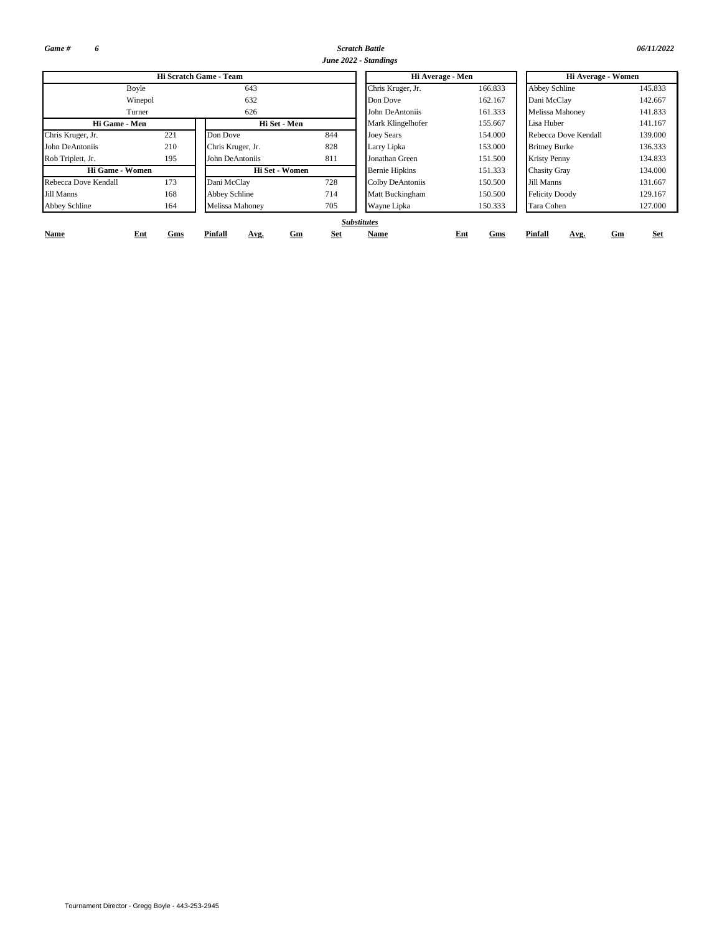*Game # 6*

**Name**

*Scratch Battle 06/11/2022*

|                      |         |                        |     | June 2022 - Standings |         |                       |         |  |  |
|----------------------|---------|------------------------|-----|-----------------------|---------|-----------------------|---------|--|--|
|                      |         | Hi Scratch Game - Team |     | Hi Average - Men      |         | Hi Average - Women    |         |  |  |
| Boyle                |         | 643                    |     | Chris Kruger, Jr.     | 166.833 | <b>Abbey Schline</b>  | 145.833 |  |  |
|                      | Winepol | 632                    |     | Don Dove              | 162.167 | Dani McClav           | 142.667 |  |  |
| Turner               |         | 626                    |     | John DeAntoniis       | 161.333 | Melissa Mahoney       | 141.833 |  |  |
| Hi Game - Men        |         | Hi Set - Men           |     | Mark Klingelhofer     | 155.667 | Lisa Huber            | 141.167 |  |  |
| Chris Kruger, Jr.    | 221     | Don Dove               | 844 | <b>Joey Sears</b>     | 154.000 | Rebecca Dove Kendall  | 139.000 |  |  |
| John DeAntoniis      | 210     | Chris Kruger, Jr.      | 828 | Larry Lipka           | 153.000 | <b>Britney Burke</b>  | 136.333 |  |  |
| Rob Triplett, Jr.    | 195     | John DeAntoniis        | 811 | Jonathan Green        | 151.500 | <b>Kristy Penny</b>   | 134.833 |  |  |
| Hi Game - Women      |         | Hi Set - Women         |     | <b>Bernie Hipkins</b> | 151.333 | <b>Chasity Gray</b>   | 134.000 |  |  |
| Rebecca Dove Kendall | 173     | Dani McClay            | 728 | Colby DeAntoniis      | 150.500 | Jill Manns            | 131.667 |  |  |
| Jill Manns           | 168     | Abbey Schline          | 714 | Matt Buckingham       | 150.500 | <b>Felicity Doody</b> | 129.167 |  |  |
| Abbey Schline        | 164     | Melissa Mahonev        | 705 | Wayne Lipka           | 150.333 | Tara Cohen            | 127.000 |  |  |

**Name** 

**Gms Pinfall Avg.**

## *Substitutes*

**Ent Gm Set Pinfall**

**Avg.**

**Gms**

**Gm Set**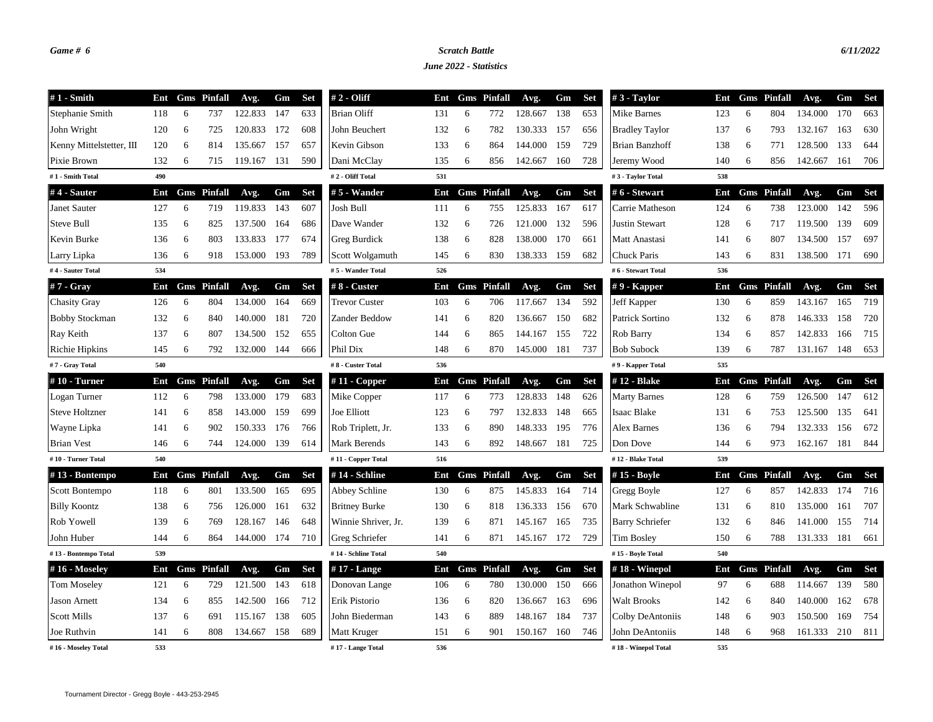## *Game # 6 Scratch Battle 6/11/2022*

*June 2022 - Statistics*

| $#1$ - Smith             | Ent |   | <b>Gms</b> Pinfall | Avg.    | Gm  | <b>Set</b> | $# 2 - Oliff$        | Ent |    | <b>Gms</b> Pinfall | Avg.        | Gm  | <b>Set</b> | $#3$ - Taylor          | Ent |     | <b>Gms</b> Pinfall | Avg.    | Gm  | <b>Set</b> |
|--------------------------|-----|---|--------------------|---------|-----|------------|----------------------|-----|----|--------------------|-------------|-----|------------|------------------------|-----|-----|--------------------|---------|-----|------------|
| Stephanie Smith          | 118 | 6 | 737                | 122.833 | 147 | 633        | <b>Brian Oliff</b>   | 131 | 6  | 772                | 128.667     | 138 | 653        | Mike Barnes            | 123 | 6   | 804                | 134.000 | 170 | 663        |
| John Wright              | 120 | 6 | 725                | 120.833 | 172 | 608        | John Beuchert        | 132 | -6 | 782                | 130.333     | 157 | 656        | <b>Bradley Taylor</b>  | 137 | 6   | 793                | 132.167 | 163 | 630        |
| Kenny Mittelstetter, III | 120 | 6 | 814                | 135.667 | 157 | 657        | Kevin Gibson         | 133 | 6  | 864                | 144.000     | 159 | 729        | Brian Banzhoff         | 138 | 6   | 771                | 128.500 | 133 | 644        |
| Pixie Brown              | 132 | 6 | 715                | 119.167 | 131 | 590        | Dani McClay          | 135 | 6  | 856                | 142.667     | 160 | 728        | Jeremy Wood            | 140 | 6   | 856                | 142.667 | 161 | 706        |
| #1 - Smith Total         | 490 |   |                    |         |     |            | #2 - Oliff Total     | 531 |    |                    |             |     |            | #3 - Taylor Total      | 538 |     |                    |         |     |            |
| #4 - Sauter              | Ent |   | <b>Gms</b> Pinfall | Avg.    | Gm  | <b>Set</b> | # 5 - Wander         | Ent |    | <b>Gms</b> Pinfall | Avg.        | Gm  | <b>Set</b> | # 6 - Stewart          | Ent |     | <b>Gms</b> Pinfall | Avg.    | Gm  | <b>Set</b> |
| Janet Sauter             | 127 | 6 | 719                | 119.833 | 143 | 607        | Josh Bull            | 111 | 6  | 755                | 125.833     | 167 | 617        | Carrie Matheson        | 124 | 6   | 738                | 123.000 | 142 | 596        |
| Steve Bull               | 135 | 6 | 825                | 137.500 | 164 | 686        | Dave Wander          | 132 | 6  | 726                | 121.000     | 132 | 596        | Justin Stewart         | 128 | 6   | 717                | 119.500 | 139 | 609        |
| Kevin Burke              | 136 | 6 | 803                | 133.833 | 177 | 674        | Greg Burdick         | 138 | 6  | 828                | 138.000     | 170 | 661        | Matt Anastasi          | 141 | 6   | 807                | 134.500 | 157 | 697        |
| Larry Lipka              | 136 | 6 | 918                | 153.000 | 193 | 789        | Scott Wolgamuth      | 145 | 6  | 830                | 138.333 159 |     | 682        | Chuck Paris            | 143 | 6   | 831                | 138.500 | 171 | 690        |
| #4 - Sauter Total        | 534 |   |                    |         |     |            | #5 - Wander Total    | 526 |    |                    |             |     |            | #6 - Stewart Total     | 536 |     |                    |         |     |            |
| $#7 - Gray$              | Ent |   | <b>Gms</b> Pinfall | Avg.    | Gm  | <b>Set</b> | #8 - Custer          | Ent |    | <b>Gms</b> Pinfall | Avg.        | Gm  | <b>Set</b> | $#9$ - Kapper          | Ent |     | <b>Gms</b> Pinfall | Avg.    | Gm  | <b>Set</b> |
| <b>Chasity Gray</b>      | 126 | 6 | 804                | 134.000 | 164 | 669        | <b>Trevor Custer</b> | 103 | 6  | 706                | 117.667     | 134 | 592        | Jeff Kapper            | 130 | 6   | 859                | 143.167 | 165 | 719        |
| <b>Bobby Stockman</b>    | 132 | 6 | 840                | 140.000 | 181 | 720        | Zander Beddow        | 141 | 6  | 820                | 136.667     | 150 | 682        | Patrick Sortino        | 132 | 6   | 878                | 146.333 | 158 | 720        |
| Ray Keith                | 137 | 6 | 807                | 134.500 | 152 | 655        | Colton Gue           | 144 | 6  | 865                | 144.167     | 155 | 722        | Rob Barry              | 134 | 6   | 857                | 142.833 | 166 | 715        |
| Richie Hipkins           | 145 | 6 | 792                | 132.000 | 144 | 666        | Phil Dix             | 148 | 6  | 870                | 145.000     | 181 | 737        | <b>Bob Subock</b>      | 139 | 6   | 787                | 131.167 | 148 | 653        |
| #7 - Gray Total          | 540 |   |                    |         |     |            | #8 - Custer Total    | 536 |    |                    |             |     |            | #9 - Kapper Total      | 535 |     |                    |         |     |            |
| #10 - Turner             | Ent |   | <b>Gms</b> Pinfall | Avg.    | Gm  | <b>Set</b> | $#11$ - Copper       | Ent |    | <b>Gms</b> Pinfall | Avg.        | Gm  | <b>Set</b> | # 12 - Blake           | Ent |     | <b>Gms</b> Pinfall | Avg.    | Gm  | <b>Set</b> |
| Logan Turner             | 112 | 6 | 798                | 133.000 | 179 | 683        | Mike Copper          | 117 | 6  | 773                | 128.833     | 148 | 626        | <b>Marty Barnes</b>    | 128 | 6   | 759                | 126.500 | 147 | 612        |
| <b>Steve Holtzner</b>    | 141 | 6 | 858                | 143.000 | 159 | 699        | Joe Elliott          | 123 | 6  | 797                | 132.833     | 148 | 665        | Isaac Blake            | 131 | 6   | 753                | 125.500 | 135 | 641        |
| Wayne Lipka              | 141 | 6 | 902                | 150.333 | 176 | 766        | Rob Triplett, Jr.    | 133 | 6  | 890                | 148.333     | 195 | 776        | Alex Barnes            | 136 | 6   | 794                | 132.333 | 156 | 672        |
| <b>Brian Vest</b>        | 146 | 6 | 744                | 124.000 | 139 | 614        | Mark Berends         | 143 | 6  | 892                | 148.667     | 181 | 725        | Don Dove               | 144 | 6   | 973                | 162.167 | 181 | 844        |
| #10 - Turner Total       | 540 |   |                    |         |     |            | #11 - Copper Total   | 516 |    |                    |             |     |            | #12 - Blake Total      | 539 |     |                    |         |     |            |
| #13 - Bontempo           | Ent |   | <b>Gms</b> Pinfall | Avg.    | Gm  | <b>Set</b> | #14 - Schline        | Ent |    | <b>Gms</b> Pinfall | Avg.        | Gm  | <b>Set</b> | #15 - Boyle            | Ent | Gms | Pinfall            | Avg.    | Gm  | <b>Set</b> |
| Scott Bontempo           | 118 | 6 | 801                | 133.500 | 165 | 695        | Abbey Schline        | 130 | 6  | 875                | 145.833     | 164 | 714        | Gregg Boyle            | 127 | 6   | 857                | 142.833 | 174 | 716        |
| <b>Billy Koontz</b>      | 138 | 6 | 756                | 126.000 | 161 | 632        | <b>Britney Burke</b> | 130 | 6  | 818                | 136.333 156 |     | 670        | Mark Schwabline        | 131 | 6   | 810                | 135.000 | 161 | 707        |
| Rob Yowell               | 139 | 6 | 769                | 128.167 | 146 | 648        | Winnie Shriver, Jr.  | 139 | 6  | 871                | 145.167     | 165 | 735        | <b>Barry Schriefer</b> | 132 | 6   | 846                | 141.000 | 155 | 714        |
| John Huber               | 144 | 6 | 864                | 144.000 | 174 | 710        | Greg Schriefer       | 141 | 6  | 871                | 145.167     | 172 | 729        | <b>Tim Bosley</b>      | 150 | 6   | 788                | 131.333 | 181 | 661        |
| #13 - Bontempo Total     | 539 |   |                    |         |     |            | #14 - Schline Total  | 540 |    |                    |             |     |            | #15 - Boyle Total      | 540 |     |                    |         |     |            |
| #16 - Moseley            | Ent |   | <b>Gms</b> Pinfall | Avg.    | Gm  | <b>Set</b> | $#17$ - Lange        | Ent |    | <b>Gms</b> Pinfall | Avg.        | Gm  | <b>Set</b> | #18 - Winepol          | Ent | Gms | Pinfall            | Avg.    | Gm  | <b>Set</b> |
| <b>Tom Moseley</b>       | 121 | 6 | 729                | 121.500 | 143 | 618        | Donovan Lange        | 106 | 6  | 780                | 130.000     | 150 | 666        | Jonathon Winepol       | 97  | 6   | 688                | 114.667 | 139 | 580        |
| <b>Jason Arnett</b>      | 134 | 6 | 855                | 142.500 | 166 | 712        | Erik Pistorio        | 136 | 6  | 820                | 136.667     | 163 | 696        | <b>Walt Brooks</b>     | 142 | 6   | 840                | 140.000 | 162 | 678        |
| <b>Scott Mills</b>       | 137 | 6 | 691                | 115.167 | 138 | 605        | John Biederman       | 143 | 6  | 889                | 148.167     | 184 | 737        | Colby DeAntoniis       | 148 | 6   | 903                | 150.500 | 169 | 754        |
| Joe Ruthvin              | 141 | 6 | 808                | 134.667 | 158 | 689        | Matt Kruger          | 151 | 6  | 901                | 150.167     | 160 | 746        | John DeAntoniis        | 148 | 6   | 968                | 161.333 | 210 | 811        |
| #16 - Moseley Total      | 533 |   |                    |         |     |            | #17 - Lange Total    | 536 |    |                    |             |     |            | #18 - Winepol Total    | 535 |     |                    |         |     |            |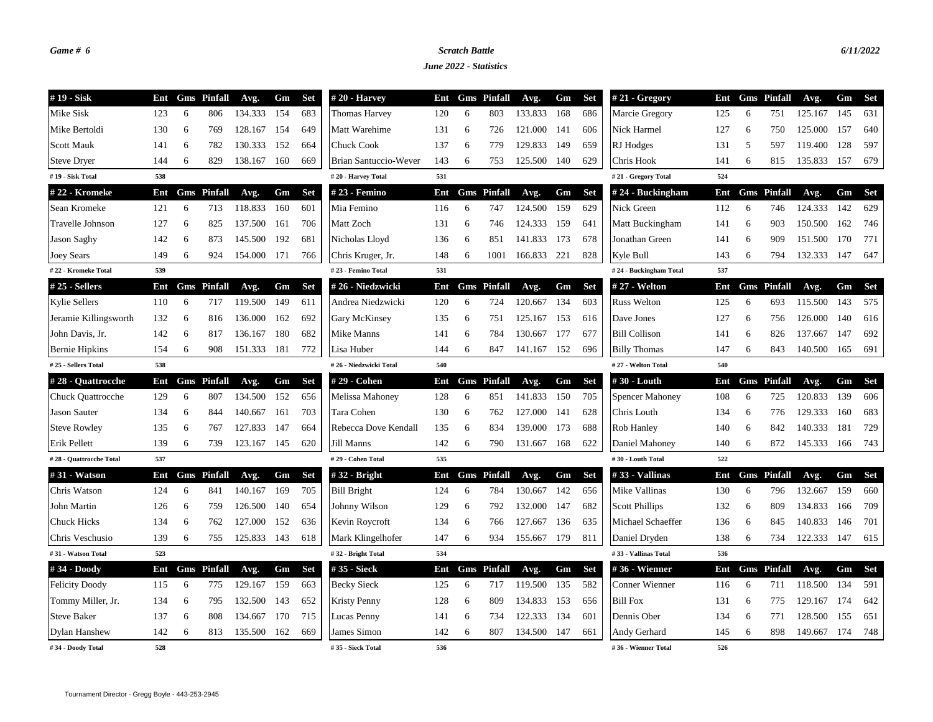## *Game # 6 Scratch Battle 6/11/2022*

*June 2022 - Statistics*

| #19 - Sisk               | Ent |    | <b>Gms</b> Pinfall | Avg.    | Gm  | <b>Set</b> | $#20$ - Harvey         | Ent |    | <b>Gms</b> Pinfall | Avg.    | Gm  | <b>Set</b> | #21 - Gregory          | Ent |     | <b>Gms</b> Pinfall | Avg.    | Gm  | <b>Set</b> |
|--------------------------|-----|----|--------------------|---------|-----|------------|------------------------|-----|----|--------------------|---------|-----|------------|------------------------|-----|-----|--------------------|---------|-----|------------|
| Mike Sisk                | 123 | 6  | 806                | 134.333 | 154 | 683        | <b>Thomas Harvey</b>   | 120 | 6  | 803                | 133.833 | 168 | 686        | Marcie Gregory         | 125 | 6   | 751                | 125.167 | 145 | 631        |
| Mike Bertoldi            | 130 | -6 | 769                | 128.167 | 154 | 649        | Matt Warehime          | 131 | 6  | 726                | 121.000 | 141 | 606        | Nick Harmel            | 127 | 6   | 750                | 125.000 | 157 | 640        |
| <b>Scott Mauk</b>        | 141 | 6  | 782                | 130.333 | 152 | 664        | <b>Chuck Cook</b>      | 137 | 6  | 779                | 129.833 | 149 | 659        | RJ Hodges              | 131 | 5   | 597                | 119.400 | 128 | 597        |
| <b>Steve Dryer</b>       | 144 | 6  | 829                | 138.167 | 160 | 669        | Brian Santuccio-Wever  | 143 | 6  | 753                | 125.500 | 140 | 629        | Chris Hook             | 141 | 6   | 815                | 135.833 | 157 | 679        |
| #19 - Sisk Total         | 538 |    |                    |         |     |            | #20 - Harvey Total     | 531 |    |                    |         |     |            | #21 - Gregory Total    | 524 |     |                    |         |     |            |
| # 22 - Kromeke           | Ent |    | <b>Gms</b> Pinfall | Avg.    | Gm  | <b>Set</b> | # 23 - Femino          | Ent |    | <b>Gms</b> Pinfall | Avg.    | Gm  | <b>Set</b> | # 24 - Buckingham      | Ent |     | <b>Gms</b> Pinfall | Avg.    | Gm  | <b>Set</b> |
| Sean Kromeke             | 121 | 6  | 713                | 118.833 | 160 | 601        | Mia Femino             | 116 | 6  | 747                | 124.500 | 159 | 629        | Nick Green             | 112 | 6   | 746                | 124.333 | 142 | 629        |
| Travelle Johnson         | 127 | 6  | 825                | 137.500 | 161 | 706        | Matt Zoch              | 131 | 6  | 746                | 124.333 | 159 | 641        | Matt Buckingham        | 141 | 6   | 903                | 150.500 | 162 | 746        |
| Jason Saghy              | 142 | 6  | 873                | 145.500 | 192 | 681        | Nicholas Lloyd         | 136 | 6  | 851                | 141.833 | 173 | 678        | Jonathan Green         | 141 | 6   | 909                | 151.500 | 170 | 771        |
| <b>Joey Sears</b>        | 149 | 6  | 924                | 154.000 | 171 | 766        | Chris Kruger, Jr.      | 148 | 6  | 1001               | 166.833 | 221 | 828        | Kyle Bull              | 143 | 6   | 794                | 132.333 | 147 | 647        |
| #22 - Kromeke Total      | 539 |    |                    |         |     |            | #23 - Femino Total     | 531 |    |                    |         |     |            | #24 - Buckingham Total | 537 |     |                    |         |     |            |
| $#25$ - Sellers          | Ent |    | <b>Gms</b> Pinfall | Avg.    | Gm  | <b>Set</b> | #26 - Niedzwicki       | Ent |    | <b>Gms</b> Pinfall | Avg.    | Gm  | <b>Set</b> | # 27 - Welton          | Ent |     | <b>Gms</b> Pinfall | Avg.    | Gm  | Set        |
| <b>Kylie Sellers</b>     | 110 | 6  | 717                | 119.500 | 149 | 611        | Andrea Niedzwicki      | 120 | 6  | 724                | 120.667 | 134 | 603        | <b>Russ Welton</b>     | 125 | 6   | 693                | 115.500 | 143 | 575        |
| Jeramie Killingsworth    | 132 | 6  | 816                | 136.000 | 162 | 692        | <b>Gary McKinsey</b>   | 135 | 6  | 751                | 125.167 | 153 | 616        | Dave Jones             | 127 | 6   | 756                | 126.000 | 140 | 616        |
| John Davis, Jr.          | 142 | 6  | 817                | 136.167 | 180 | 682        | Mike Manns             | 141 | 6  | 784                | 130.667 | 177 | 677        | <b>Bill Collison</b>   | 141 | 6   | 826                | 137.667 | 147 | 692        |
| <b>Bernie Hipkins</b>    | 154 | 6  | 908                | 151.333 | 181 | 772        | Lisa Huber             | 144 | 6  | 847                | 141.167 | 152 | 696        | <b>Billy Thomas</b>    | 147 | 6   | 843                | 140.500 | 165 | 691        |
| # 25 - Sellers Total     | 538 |    |                    |         |     |            | #26 - Niedzwicki Total | 540 |    |                    |         |     |            | #27 - Welton Total     | 540 |     |                    |         |     |            |
| #28 - Quattrocche        | Ent |    | <b>Gms</b> Pinfall | Avg.    | Gm  | <b>Set</b> | # 29 - Cohen           | Ent |    | <b>Gms</b> Pinfall | Avg.    | Gm  | <b>Set</b> | #30 - Louth            | Ent |     | <b>Gms</b> Pinfall | Avg.    | Gm  | <b>Set</b> |
| <b>Chuck Quattrocche</b> | 129 | 6  | 807                | 134.500 | 152 | 656        | Melissa Mahoney        | 128 | 6  | 851                | 141.833 | 150 | 705        | <b>Spencer Mahoney</b> | 108 | 6   | 725                | 120.833 | 139 | 606        |
| <b>Jason Sauter</b>      | 134 | 6  | 844                | 140.667 | 161 | 703        | Tara Cohen             | 130 | 6  | 762                | 127.000 | 141 | 628        | Chris Louth            | 134 | 6   | 776                | 129.333 | 160 | 683        |
| <b>Steve Rowley</b>      | 135 | 6  | 767                | 127.833 | 147 | 664        | Rebecca Dove Kendall   | 135 | -6 | 834                | 139.000 | 173 | 688        | Rob Hanley             | 140 | 6   | 842                | 140.333 | 181 | 729        |
| Erik Pellett             | 139 | 6  | 739                | 123.167 | 145 | 620        | Jill Manns             | 142 | 6  | 790                | 131.667 | 168 | 622        | Daniel Mahoney         | 140 | 6   | 872                | 145.333 | 166 | 743        |
| #28 - Quattrocche Total  | 537 |    |                    |         |     |            | #29 - Cohen Total      | 535 |    |                    |         |     |            | #30 - Louth Total      | 522 |     |                    |         |     |            |
| #31 - Watson             | Ent |    | <b>Gms</b> Pinfall | Avg.    | Gm  | <b>Set</b> | #32 - Bright           | Ent |    | <b>Gms</b> Pinfall | Avg.    | Gm  | <b>Set</b> | #33 - Vallinas         | Ent | Gms | Pinfall            | Avg.    | Gm  | <b>Set</b> |
| Chris Watson             | 124 | 6  | 841                | 140.167 | 169 | 705        | <b>Bill Bright</b>     | 124 | 6  | 784                | 130.667 | 142 | 656        | Mike Vallinas          | 130 | 6   | 796                | 132.667 | 159 | 660        |
| John Martin              | 126 | 6  | 759                | 126.500 | 140 | 654        | Johnny Wilson          | 129 | 6  | 792                | 132.000 | 147 | 682        | <b>Scott Phillips</b>  | 132 | 6   | 809                | 134.833 | 166 | 709        |
| <b>Chuck Hicks</b>       | 134 | 6  | 762                | 127.000 | 152 | 636        | Kevin Roycroft         | 134 | 6  | 766                | 127.667 | 136 | 635        | Michael Schaeffer      | 136 | 6   | 845                | 140.833 | 146 | 701        |
| Chris Veschusio          | 139 | 6  | 755                | 125.833 | 143 | 618        | Mark Klingelhofer      | 147 | 6  | 934                | 155.667 | 179 | 811        | Daniel Dryden          | 138 | 6   | 734                | 122.333 | 147 | 615        |
| #31 - Watson Total       | 523 |    |                    |         |     |            | #32 - Bright Total     | 534 |    |                    |         |     |            | #33 - Vallinas Total   | 536 |     |                    |         |     |            |
| #34 - Doody              | Ent |    | <b>Gms</b> Pinfall | Avg.    | Gm  | <b>Set</b> | #35 - Sieck            | Ent |    | <b>Gms</b> Pinfall | Avg.    | Gm  | <b>Set</b> | #36 - Wienner          | Ent |     | <b>Gms</b> Pinfall | Avg.    | Gm  | <b>Set</b> |
| <b>Felicity Doody</b>    | 115 | 6  | 775                | 129.167 | 159 | 663        | <b>Becky Sieck</b>     | 125 | 6  | 717                | 119.500 | 135 | 582        | Conner Wienner         | 116 | 6   | 711                | 118.500 | 134 | 591        |
| Tommy Miller, Jr.        | 134 | 6  | 795                | 132.500 | 143 | 652        | Kristy Penny           | 128 | 6  | 809                | 134.833 | 153 | 656        | <b>Bill Fox</b>        | 131 | 6   | 775                | 129.167 | 174 | 642        |
| <b>Steve Baker</b>       | 137 | 6  | 808                | 134.667 | 170 | 715        | Lucas Penny            | 141 | 6  | 734                | 122.333 | 134 | 601        | Dennis Ober            | 134 | 6   | 771                | 128.500 | 155 | 651        |
| Dylan Hanshew            | 142 | 6  | 813                | 135.500 | 162 | 669        | James Simon            | 142 | 6  | 807                | 134.500 | 147 | 661        | Andy Gerhard           | 145 | 6   | 898                | 149.667 | 174 | 748        |
| #34 - Doody Total        | 528 |    |                    |         |     |            | #35 - Sieck Total      | 536 |    |                    |         |     |            | #36 - Wienner Total    | 526 |     |                    |         |     |            |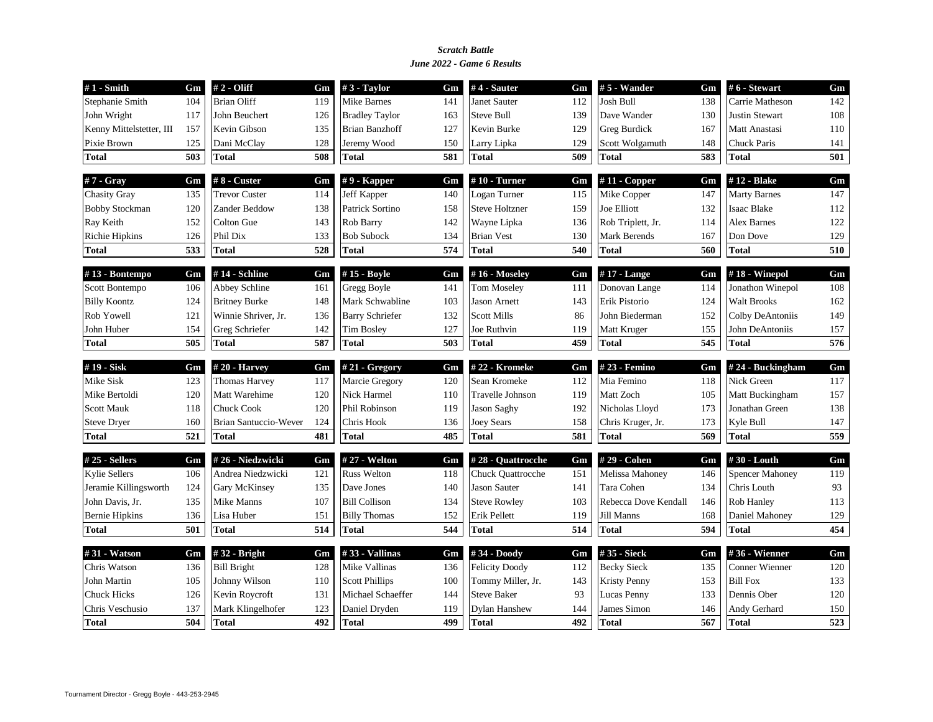### *June 2022 - Game 6 Results Scratch Battle*

| $#1$ - Smith             | Gm  | $#2 - Oliff$          | Gm  | $#3$ - Taylor          | Gm  | $#4$ - Sauter         | Gm  | $# 5$ - Wander       | Gm  | #6 - Stewart           | Gm  |
|--------------------------|-----|-----------------------|-----|------------------------|-----|-----------------------|-----|----------------------|-----|------------------------|-----|
| Stephanie Smith          | 104 | <b>Brian Oliff</b>    | 119 | Mike Barnes            | 141 | Janet Sauter          | 112 | Josh Bull            | 138 | Carrie Matheson        | 142 |
| John Wright              | 117 | John Beuchert         | 126 | <b>Bradley Taylor</b>  | 163 | <b>Steve Bull</b>     | 139 | Dave Wander          | 130 | <b>Justin Stewart</b>  | 108 |
| Kenny Mittelstetter, III | 157 | Kevin Gibson          | 135 | <b>Brian Banzhoff</b>  | 127 | Kevin Burke           | 129 | <b>Greg Burdick</b>  | 167 | Matt Anastasi          | 110 |
| Pixie Brown              | 125 | Dani McClay           | 128 | Jeremy Wood            | 150 | Larry Lipka           | 129 | Scott Wolgamuth      | 148 | <b>Chuck Paris</b>     | 141 |
| <b>Total</b>             | 503 | <b>Total</b>          | 508 | <b>Total</b>           | 581 | <b>Total</b>          | 509 | Total                | 583 | <b>Total</b>           | 501 |
| $#7 - Gray$              | Gm  | $#8$ - Custer         | Gm  | $# 9$ - Kapper         | Gm  | $#10$ - Turner        | Gm  | $#11$ - Copper       | Gm  | #12 - Blake            | Gm  |
| <b>Chasity Gray</b>      | 135 | <b>Trevor Custer</b>  | 114 | Jeff Kapper            | 140 | Logan Turner          | 115 | Mike Copper          | 147 | <b>Marty Barnes</b>    | 147 |
| <b>Bobby Stockman</b>    | 120 | Zander Beddow         | 138 | Patrick Sortino        | 158 | <b>Steve Holtzner</b> | 159 | Joe Elliott          | 132 | <b>Isaac Blake</b>     | 112 |
| Ray Keith                | 152 | Colton Gue            | 143 | Rob Barry              | 142 | Wayne Lipka           | 136 | Rob Triplett, Jr.    | 114 | <b>Alex Barnes</b>     | 122 |
| <b>Richie Hipkins</b>    | 126 | Phil Dix              | 133 | <b>Bob Subock</b>      | 134 | <b>Brian Vest</b>     | 130 | Mark Berends         | 167 | Don Dove               | 129 |
| <b>Total</b>             | 533 | <b>Total</b>          | 528 | <b>Total</b>           | 574 | <b>Total</b>          | 540 | Total                | 560 | <b>Total</b>           | 510 |
| #13 - Bontempo           | Gm  | #14 - Schline         | Gm  | #15 - Boyle            | Gm  | #16 - Moseley         | Gm  | #17 - Lange          | Gm  | #18 - Winepol          | Gm  |
| Scott Bontempo           | 106 | Abbey Schline         | 161 | Gregg Boyle            | 141 | <b>Tom Moseley</b>    | 111 | Donovan Lange        | 114 | Jonathon Winepol       | 108 |
| <b>Billy Koontz</b>      | 124 | <b>Britney Burke</b>  | 148 | Mark Schwabline        | 103 | <b>Jason Arnett</b>   | 143 | Erik Pistorio        | 124 | <b>Walt Brooks</b>     | 162 |
| Rob Yowell               | 121 | Winnie Shriver, Jr.   | 136 | <b>Barry Schriefer</b> | 132 | <b>Scott Mills</b>    | 86  | John Biederman       | 152 | Colby DeAntoniis       | 149 |
| John Huber               | 154 | Greg Schriefer        | 142 | <b>Tim Bosley</b>      | 127 | Joe Ruthvin           | 119 | Matt Kruger          | 155 | John DeAntoniis        | 157 |
| <b>Total</b>             | 505 | <b>Total</b>          | 587 | <b>Total</b>           | 503 | <b>Total</b>          | 459 | Total                | 545 | <b>Total</b>           | 576 |
| #19 - Sisk               | Gm  | #20 - Harvey          | Gm  | # $21 - Gregory$       | Gm  | #22 - Kromeke         | Gm  | #23 - Femino         | Gm  | #24 - Buckingham       | Gm  |
| Mike Sisk                | 123 | <b>Thomas Harvey</b>  | 117 | Marcie Gregory         | 120 | Sean Kromeke          | 112 | Mia Femino           | 118 | Nick Green             | 117 |
| Mike Bertoldi            | 120 | Matt Warehime         | 120 | Nick Harmel            | 110 | Travelle Johnson      | 119 | Matt Zoch            | 105 | Matt Buckingham        | 157 |
| <b>Scott Mauk</b>        | 118 | <b>Chuck Cook</b>     | 120 | Phil Robinson          | 119 | <b>Jason Saghy</b>    | 192 | Nicholas Lloyd       | 173 | Jonathan Green         | 138 |
| <b>Steve Dryer</b>       | 160 | Brian Santuccio-Wever | 124 | Chris Hook             | 136 | Joey Sears            | 158 | Chris Kruger, Jr.    | 173 | Kyle Bull              | 147 |
| <b>Total</b>             | 521 | <b>Total</b>          | 481 | <b>Total</b>           | 485 | <b>Total</b>          | 581 | Total                | 569 | <b>Total</b>           | 559 |
| #25 - Sellers            | Gm  | #26 - Niedzwicki      | Gm  | # 27 - Welton          | Gm  | #28 - Quattrocche     | Gm  | # 29 - Cohen         | Gm  | #30 - Louth            | Gm  |
| <b>Kylie Sellers</b>     |     | Andrea Niedzwicki     |     | <b>Russ Welton</b>     | 118 | Chuck Quattrocche     | 151 | Melissa Mahoney      | 146 | <b>Spencer Mahoney</b> | 119 |
|                          | 106 |                       | 121 |                        |     |                       |     |                      |     |                        |     |
| Jeramie Killingsworth    | 124 | Gary McKinsey         | 135 | Dave Jones             | 140 | <b>Jason Sauter</b>   | 141 | Tara Cohen           | 134 | Chris Louth            | 93  |
| John Davis, Jr.          | 135 | Mike Manns            | 107 | <b>Bill Collison</b>   | 134 | <b>Steve Rowley</b>   | 103 | Rebecca Dove Kendall | 146 | Rob Hanley             | 113 |
| <b>Bernie Hipkins</b>    | 136 | Lisa Huber            | 151 | <b>Billy Thomas</b>    | 152 | Erik Pellett          | 119 | Jill Manns           | 168 | Daniel Mahoney         | 129 |
| <b>Total</b>             | 501 | <b>Total</b>          | 514 | <b>Total</b>           | 544 | <b>Total</b>          | 514 | Total                | 594 | <b>Total</b>           | 454 |
| #31 - Watson             | Gm  | #32 - Bright          | Gm  | #33 - Vallinas         | Gm  | #34 - Doody           | Gm  | #35 - Sieck          | Gm  | #36 - Wienner          | Gm  |
| Chris Watson             | 136 | <b>Bill Bright</b>    | 128 | Mike Vallinas          | 136 | <b>Felicity Doody</b> | 112 | <b>Becky Sieck</b>   | 135 | Conner Wienner         | 120 |
| John Martin              | 105 | Johnny Wilson         | 110 | <b>Scott Phillips</b>  | 100 | Tommy Miller, Jr.     | 143 | Kristy Penny         | 153 | <b>Bill Fox</b>        | 133 |
| <b>Chuck Hicks</b>       | 126 | Kevin Roycroft        | 131 | Michael Schaeffer      | 144 | <b>Steve Baker</b>    | 93  | Lucas Penny          | 133 | Dennis Ober            | 120 |
| Chris Veschusio          | 137 | Mark Klingelhofer     | 123 | Daniel Dryden          | 119 | <b>Dylan Hanshew</b>  | 144 | James Simon          | 146 | Andy Gerhard           | 150 |